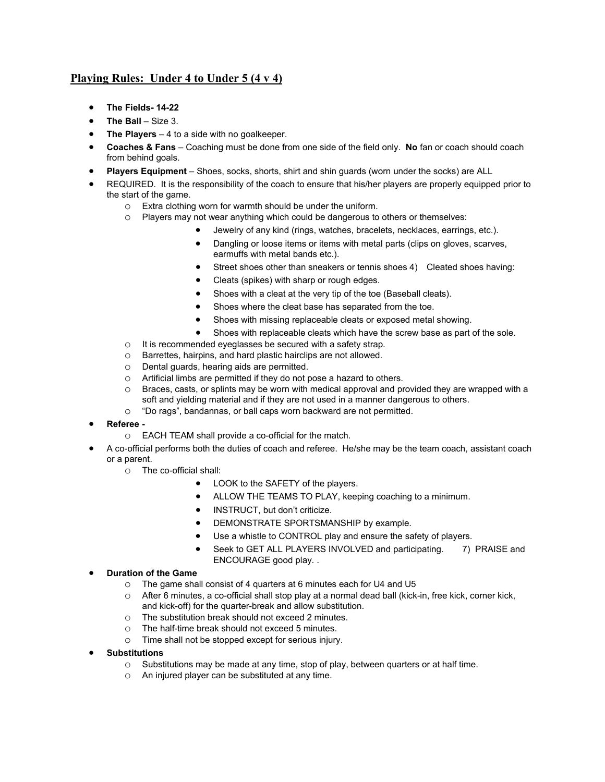## **Playing Rules: Under 4 to Under 5 (4 v 4)**

- **The Fields- 14-22**
- **The Ball** Size 3.
- **The Players** 4 to a side with no goalkeeper.
- **Coaches & Fans**  Coaching must be done from one side of the field only. **No** fan or coach should coach from behind goals.
- **Players Equipment** Shoes, socks, shorts, shirt and shin guards (worn under the socks) are ALL
- REQUIRED. It is the responsibility of the coach to ensure that his/her players are properly equipped prior to the start of the game.
	- o Extra clothing worn for warmth should be under the uniform.
	- o Players may not wear anything which could be dangerous to others or themselves:
		- Jewelry of any kind (rings, watches, bracelets, necklaces, earrings, etc.).
		- Dangling or loose items or items with metal parts (clips on gloves, scarves, earmuffs with metal bands etc.).
		- Street shoes other than sneakers or tennis shoes 4) Cleated shoes having:
		- Cleats (spikes) with sharp or rough edges.
		- Shoes with a cleat at the very tip of the toe (Baseball cleats).
		- Shoes where the cleat base has separated from the toe.
		- Shoes with missing replaceable cleats or exposed metal showing.
		- Shoes with replaceable cleats which have the screw base as part of the sole.
	- o It is recommended eyeglasses be secured with a safety strap.
	- o Barrettes, hairpins, and hard plastic hairclips are not allowed.
	- o Dental guards, hearing aids are permitted.
	- $\circ$  Artificial limbs are permitted if they do not pose a hazard to others.<br> $\circ$  Braces, casts, or splints may be worn with medical approval and pr
	- Braces, casts, or splints may be worn with medical approval and provided they are wrapped with a soft and yielding material and if they are not used in a manner dangerous to others.
	- o "Do rags", bandannas, or ball caps worn backward are not permitted.
- **Referee** 
	- o EACH TEAM shall provide a co-official for the match.
- A co-official performs both the duties of coach and referee. He/she may be the team coach, assistant coach or a parent.
	- o The co-official shall:
		- LOOK to the SAFETY of the players.
		- ALLOW THE TEAMS TO PLAY, keeping coaching to a minimum.
		- INSTRUCT, but don't criticize.
		- DEMONSTRATE SPORTSMANSHIP by example.
		- Use a whistle to CONTROL play and ensure the safety of players.
		- Seek to GET ALL PLAYERS INVOLVED and participating. 7) PRAISE and ENCOURAGE good play. .
- **Duration of the Game**
	- o The game shall consist of 4 quarters at 6 minutes each for U4 and U5
	- o After 6 minutes, a co-official shall stop play at a normal dead ball (kick-in, free kick, corner kick, and kick-off) for the quarter-break and allow substitution.
	- $\circ$  The substitution break should not exceed 2 minutes.<br>  $\circ$  The half-time break should not exceed 5 minutes.
	- The half-time break should not exceed 5 minutes.
	- o Time shall not be stopped except for serious injury.
- **Substitutions**
	- $\circ$  Substitutions may be made at any time, stop of play, between quarters or at half time.
	- o An injured player can be substituted at any time.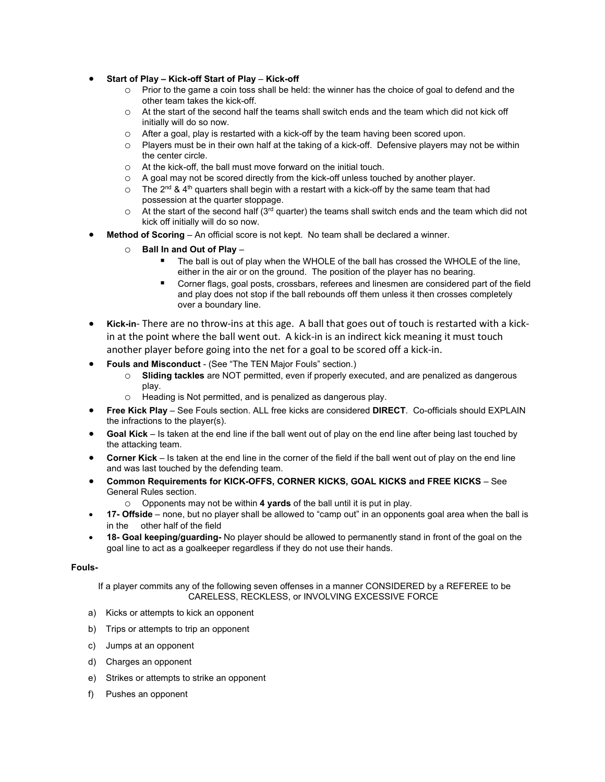- **Start of Play – Kick-off Start of Play Kick-off**
	- o Prior to the game a coin toss shall be held: the winner has the choice of goal to defend and the other team takes the kick-off.
	- $\circ$  At the start of the second half the teams shall switch ends and the team which did not kick off initially will do so now.
	- o After a goal, play is restarted with a kick-off by the team having been scored upon.
	- o Players must be in their own half at the taking of a kick-off. Defensive players may not be within the center circle.
	- o At the kick-off, the ball must move forward on the initial touch.
	- o A goal may not be scored directly from the kick-off unless touched by another player.
	- $\circ$  The 2<sup>nd</sup> & 4<sup>th</sup> quarters shall begin with a restart with a kick-off by the same team that had possession at the quarter stoppage.
	- $\circ$  At the start of the second half (3<sup>rd</sup> quarter) the teams shall switch ends and the team which did not kick off initially will do so now.
- **Method of Scoring** An official score is not kept. No team shall be declared a winner.
	- o **Ball In and Out of Play**
		- The ball is out of play when the WHOLE of the ball has crossed the WHOLE of the line, either in the air or on the ground. The position of the player has no bearing.
		- Corner flags, goal posts, crossbars, referees and linesmen are considered part of the field and play does not stop if the ball rebounds off them unless it then crosses completely over a boundary line.
- **Kick-in** There are no throw-ins at this age. A ball that goes out of touch is restarted with a kickin at the point where the ball went out. A kick-in is an indirect kick meaning it must touch another player before going into the net for a goal to be scored off a kick-in.
- **Fouls and Misconduct**  (See "The TEN Major Fouls" section.)
	- o **Sliding tackles** are NOT permitted, even if properly executed, and are penalized as dangerous play.
	- o Heading is Not permitted, and is penalized as dangerous play.
- **Free Kick Play** See Fouls section. ALL free kicks are considered **DIRECT**. Co-officials should EXPLAIN the infractions to the player(s).
- **Goal Kick** Is taken at the end line if the ball went out of play on the end line after being last touched by the attacking team.
- **Corner Kick**  Is taken at the end line in the corner of the field if the ball went out of play on the end line and was last touched by the defending team.
- **Common Requirements for KICK-OFFS, CORNER KICKS, GOAL KICKS and FREE KICKS** See General Rules section.
	- o Opponents may not be within **4 yards** of the ball until it is put in play.
- **17- Offside** none, but no player shall be allowed to "camp out" in an opponents goal area when the ball is in the other half of the field
- **18- Goal keeping/guarding-** No player should be allowed to permanently stand in front of the goal on the goal line to act as a goalkeeper regardless if they do not use their hands.

## **Fouls-**

If a player commits any of the following seven offenses in a manner CONSIDERED by a REFEREE to be CARELESS, RECKLESS, or INVOLVING EXCESSIVE FORCE

- a) Kicks or attempts to kick an opponent
- b) Trips or attempts to trip an opponent
- c) Jumps at an opponent
- d) Charges an opponent
- e) Strikes or attempts to strike an opponent
- f) Pushes an opponent